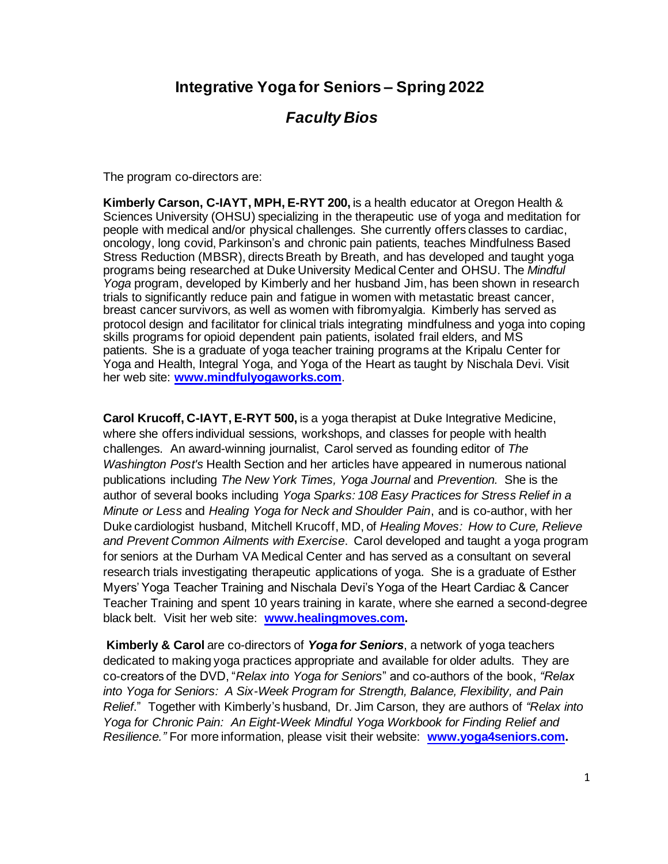## **Integrative Yoga for Seniors – Spring 2022**

## *Faculty Bios*

The program co-directors are:

**Kimberly Carson, C-IAYT, MPH, E-RYT 200,** is a health educator at Oregon Health & Sciences University (OHSU) specializing in the therapeutic use of yoga and meditation for people with medical and/or physical challenges. She currently offers classes to cardiac, oncology, long covid, Parkinson's and chronic pain patients, teaches Mindfulness Based Stress Reduction (MBSR), directs Breath by Breath, and has developed and taught yoga programs being researched at Duke University Medical Center and OHSU. The *Mindful Yoga* program, developed by Kimberly and her husband Jim, has been shown in research trials to significantly reduce pain and fatigue in women with metastatic breast cancer, breast cancer survivors, as well as women with fibromyalgia. Kimberly has served as protocol design and facilitator for clinical trials integrating mindfulness and yoga into coping skills programs for opioid dependent pain patients, isolated frail elders, and MS patients. She is a graduate of yoga teacher training programs at the Kripalu Center for Yoga and Health, Integral Yoga, and Yoga of the Heart as taught by Nischala Devi. Visit her web site: **www.mindfulyogaworks.com**.

**Carol Krucoff, C-IAYT, E-RYT 500,** is a yoga therapist at Duke Integrative Medicine, where she offers individual sessions, workshops, and classes for people with health challenges. An award-winning journalist, Carol served as founding editor of *The Washington Post's* Health Section and her articles have appeared in numerous national publications including *The New York Times, Yoga Journal* and *Prevention.* She is the author of several books including *Yoga Sparks: 108 Easy Practices for Stress Relief in a Minute or Less* and *Healing Yoga for Neck and Shoulder Pain*, and is co-author, with her Duke cardiologist husband, Mitchell Krucoff, MD, of *Healing Moves: How to Cure, Relieve and Prevent Common Ailments with Exercise*. Carol developed and taught a yoga program for seniors at the Durham VA Medical Center and has served as a consultant on several research trials investigating therapeutic applications of yoga. She is a graduate of Esther Myers' Yoga Teacher Training and Nischala Devi's Yoga of the Heart Cardiac & Cancer Teacher Training and spent 10 years training in karate, where she earned a second-degree black belt. Visit her web site: **www.healingmoves.com.**

**Kimberly & Carol** are co-directors of *Yoga for Seniors*, a network of yoga teachers dedicated to making yoga practices appropriate and available for older adults. They are co-creators of the DVD, "*Relax into Yoga for Seniors*" and co-authors of the book, *"Relax into Yoga for Seniors: A Six-Week Program for Strength, Balance, Flexibility, and Pain Relief*." Together with Kimberly's husband, Dr. Jim Carson, they are authors of *"Relax into Yoga for Chronic Pain: An Eight-Week Mindful Yoga Workbook for Finding Relief and Resilience."* For more information, please visit their website: **www.yoga4seniors.com.**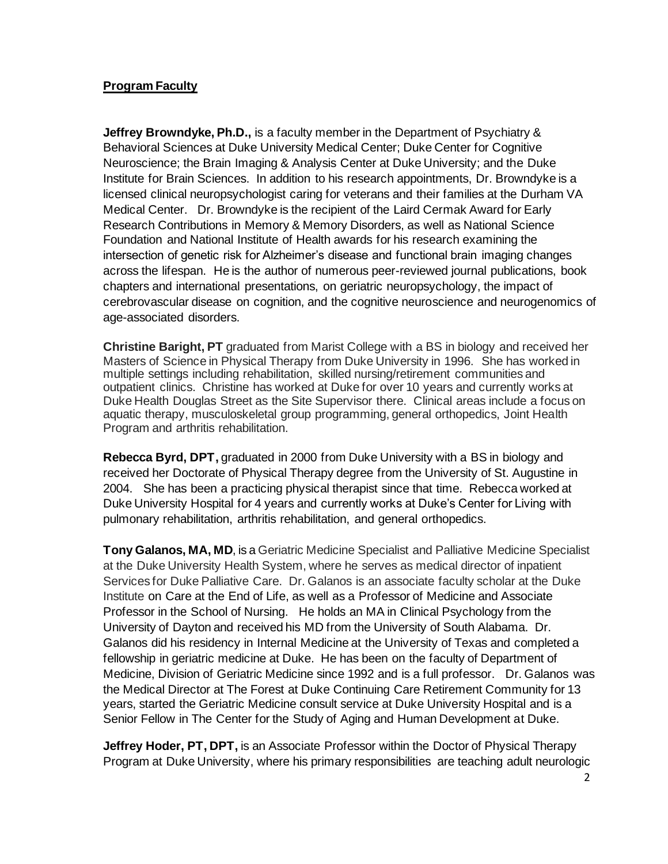## **Program Faculty**

**Jeffrey Browndyke, Ph.D.,** is a faculty member in the Department of Psychiatry & Behavioral Sciences at Duke University Medical Center; Duke Center for Cognitive Neuroscience; the Brain Imaging & Analysis Center at Duke University; and the Duke Institute for Brain Sciences. In addition to his research appointments, Dr. Browndyke is a licensed clinical neuropsychologist caring for veterans and their families at the Durham VA Medical Center. Dr. Browndyke is the recipient of the Laird Cermak Award for Early Research Contributions in Memory & Memory Disorders, as well as National Science Foundation and National Institute of Health awards for his research examining the intersection of genetic risk for Alzheimer's disease and functional brain imaging changes across the lifespan. He is the author of numerous peer-reviewed journal publications, book chapters and international presentations, on geriatric neuropsychology, the impact of cerebrovascular disease on cognition, and the cognitive neuroscience and neurogenomics of age-associated disorders.

**Christine Baright, PT** graduated from Marist College with a BS in biology and received her Masters of Science in Physical Therapy from Duke University in 1996. She has worked in multiple settings including rehabilitation, skilled nursing/retirement communities and outpatient clinics. Christine has worked at Duke for over 10 years and currently works at Duke Health Douglas Street as the Site Supervisor there. Clinical areas include a focus on aquatic therapy, musculoskeletal group programming, general orthopedics, Joint Health Program and arthritis rehabilitation.

**Rebecca Byrd, DPT,** graduated in 2000 from Duke University with a BS in biology and received her Doctorate of Physical Therapy degree from the University of St. Augustine in 2004. She has been a practicing physical therapist since that time. Rebecca worked at Duke University Hospital for 4 years and currently works at Duke's Center for Living with pulmonary rehabilitation, arthritis rehabilitation, and general orthopedics.

**Tony Galanos, MA, MD**, is a Geriatric Medicine Specialist and Palliative Medicine Specialist at the Duke University Health System, where he serves as medical director of inpatient Services for Duke Palliative Care. Dr. Galanos is an associate faculty scholar at the Duke Institute on Care at the End of Life, as well as a Professor of Medicine and Associate Professor in the School of Nursing. He holds an MA in Clinical Psychology from the University of Dayton and received his MD from the University of South Alabama. Dr. Galanos did his residency in Internal Medicine at the University of Texas and completed a fellowship in geriatric medicine at Duke. He has been on the faculty of Department of Medicine, Division of Geriatric Medicine since 1992 and is a full professor. Dr. Galanos was the Medical Director at The Forest at Duke Continuing Care Retirement Community for 13 years, started the Geriatric Medicine consult service at Duke University Hospital and is a Senior Fellow in The Center for the Study of Aging and Human Development at Duke.

**Jeffrey Hoder, PT, DPT,** is an Associate Professor within the Doctor of Physical Therapy Program at Duke University, where his primary responsibilities are teaching adult neurologic